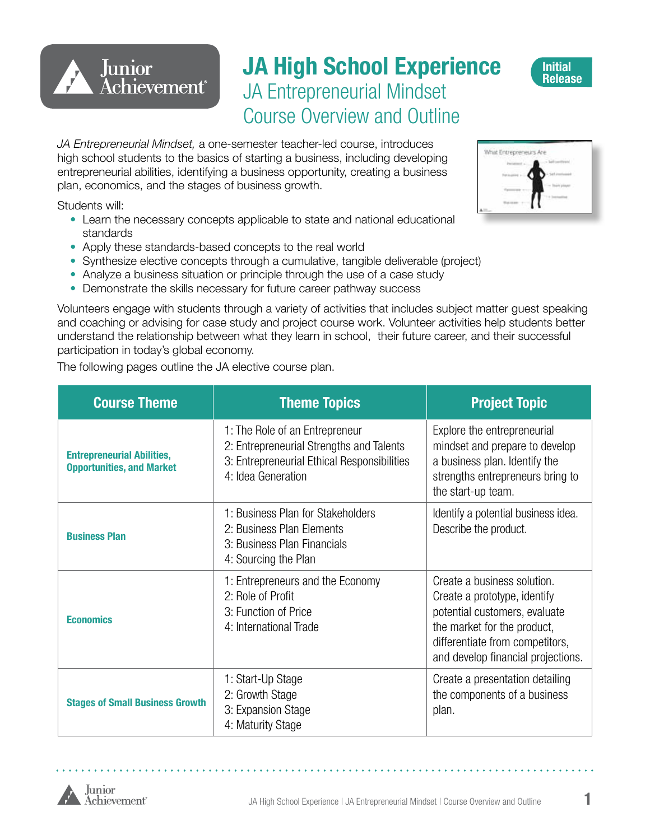# **JA High School Experience** JA Entrepreneurial Mindset Course Overview and Outline

*JA Entrepreneurial Mindset,* a one-semester teacher-led course, introduces high school students to the basics of starting a business, including developing entrepreneurial abilities, identifying a business opportunity, creating a business plan, economics, and the stages of business growth.

Students will:

Junior

**Achievement**®

- Learn the necessary concepts applicable to state and national educational standards
- Apply these standards-based concepts to the real world
- Synthesize elective concepts through a cumulative, tangible deliverable (project)
- Analyze a business situation or principle through the use of a case study
- Demonstrate the skills necessary for future career pathway success

Volunteers engage with students through a variety of activities that includes subject matter guest speaking and coaching or advising for case study and project course work. Volunteer activities help students better understand the relationship between what they learn in school, their future career, and their successful participation in today's global economy.

The following pages outline the JA elective course plan.

| <b>Course Theme</b>                                                                                                         | <b>Theme Topics</b>                                                                                                                             | <b>Project Topic</b>                                                                                                                                                                                 |
|-----------------------------------------------------------------------------------------------------------------------------|-------------------------------------------------------------------------------------------------------------------------------------------------|------------------------------------------------------------------------------------------------------------------------------------------------------------------------------------------------------|
| <b>Entrepreneurial Abilities,</b><br><b>Opportunities, and Market</b>                                                       | 1: The Role of an Entrepreneur<br>2: Entrepreneurial Strengths and Talents<br>3: Entrepreneurial Ethical Responsibilities<br>4: Idea Generation | Explore the entrepreneurial<br>mindset and prepare to develop<br>a business plan. Identify the<br>strengths entrepreneurs bring to<br>the start-up team.                                             |
| <b>Business Plan</b>                                                                                                        | 1: Business Plan for Stakeholders<br>2: Business Plan Elements<br>3: Business Plan Financials<br>4: Sourcing the Plan                           | Identify a potential business idea.<br>Describe the product.                                                                                                                                         |
| 1: Entrepreneurs and the Economy<br>2: Role of Profit<br>3: Function of Price<br><b>Economics</b><br>4: International Trade |                                                                                                                                                 | Create a business solution.<br>Create a prototype, identify<br>potential customers, evaluate<br>the market for the product,<br>differentiate from competitors,<br>and develop financial projections. |
| <b>Stages of Small Business Growth</b>                                                                                      | 1: Start-Up Stage<br>2: Growth Stage<br>3: Expansion Stage<br>4: Maturity Stage                                                                 | Create a presentation detailing<br>the components of a business<br>plan.                                                                                                                             |





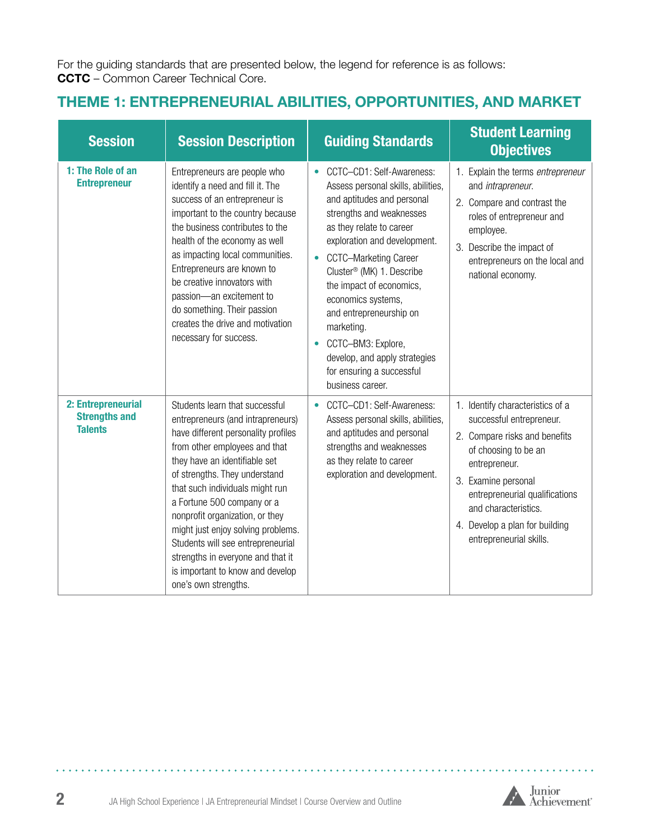For the guiding standards that are presented below, the legend for reference is as follows: **CCTC** – Common Career Technical Core.

## **THEME 1: ENTREPRENEURIAL ABILITIES, OPPORTUNITIES, AND MARKET**

| <b>Session</b>                                               | <b>Session Description</b>                                                                                                                                                                                                                                                                                                                                                                                                                                                                    | <b>Guiding Standards</b>                                                                                                                                                                                                                                                                                                                                                                                                                                                              | <b>Student Learning</b><br><b>Objectives</b>                                                                                                                                                                                                                                         |
|--------------------------------------------------------------|-----------------------------------------------------------------------------------------------------------------------------------------------------------------------------------------------------------------------------------------------------------------------------------------------------------------------------------------------------------------------------------------------------------------------------------------------------------------------------------------------|---------------------------------------------------------------------------------------------------------------------------------------------------------------------------------------------------------------------------------------------------------------------------------------------------------------------------------------------------------------------------------------------------------------------------------------------------------------------------------------|--------------------------------------------------------------------------------------------------------------------------------------------------------------------------------------------------------------------------------------------------------------------------------------|
| 1: The Role of an<br><b>Entrepreneur</b>                     | Entrepreneurs are people who<br>identify a need and fill it. The<br>success of an entrepreneur is<br>important to the country because<br>the business contributes to the<br>health of the economy as well<br>as impacting local communities.<br>Entrepreneurs are known to<br>be creative innovators with<br>passion-an excitement to<br>do something. Their passion<br>creates the drive and motivation<br>necessary for success.                                                            | CCTC-CD1: Self-Awareness:<br>$\bullet$<br>Assess personal skills, abilities,<br>and aptitudes and personal<br>strengths and weaknesses<br>as they relate to career<br>exploration and development.<br>CCTC-Marketing Career<br>$\bullet$<br>Cluster® (MK) 1. Describe<br>the impact of economics,<br>economics systems,<br>and entrepreneurship on<br>marketing.<br>CCTC-BM3: Explore,<br>$\bullet$<br>develop, and apply strategies<br>for ensuring a successful<br>business career. | 1. Explain the terms entrepreneur<br>and intrapreneur.<br>2. Compare and contrast the<br>roles of entrepreneur and<br>employee.<br>3. Describe the impact of<br>entrepreneurs on the local and<br>national economy.                                                                  |
| 2: Entrepreneurial<br><b>Strengths and</b><br><b>Talents</b> | Students learn that successful<br>entrepreneurs (and intrapreneurs)<br>have different personality profiles<br>from other employees and that<br>they have an identifiable set<br>of strengths. They understand<br>that such individuals might run<br>a Fortune 500 company or a<br>nonprofit organization, or they<br>might just enjoy solving problems.<br>Students will see entrepreneurial<br>strengths in everyone and that it<br>is important to know and develop<br>one's own strengths. | CCTC-CD1: Self-Awareness:<br>$\bullet$<br>Assess personal skills, abilities,<br>and aptitudes and personal<br>strengths and weaknesses<br>as they relate to career<br>exploration and development.                                                                                                                                                                                                                                                                                    | 1. Identify characteristics of a<br>successful entrepreneur.<br>2. Compare risks and benefits<br>of choosing to be an<br>entrepreneur.<br>3. Examine personal<br>entrepreneurial qualifications<br>and characteristics.<br>4. Develop a plan for building<br>entrepreneurial skills. |



 $\sim$   $\sim$   $\sim$ 

. . . . . . . . . . . . . .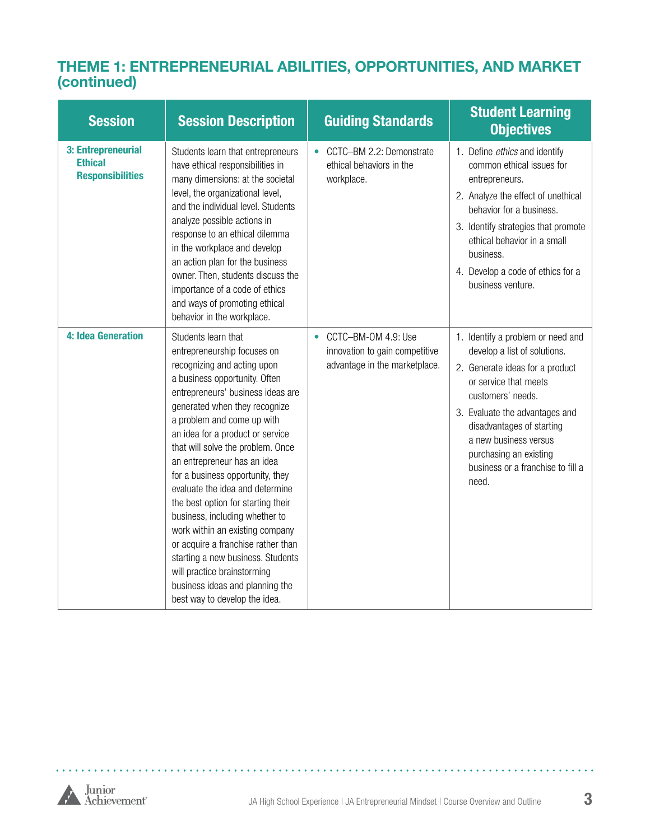#### **THEME 1: ENTREPRENEURIAL ABILITIES, OPPORTUNITIES, AND MARKET (continued)**

| <b>Session</b>                                                  | <b>Session Description</b>                                                                                                                                                                                                                                                                                                                                                                                                                                                                                                                                                                                                                                                                     | <b>Guiding Standards</b>                                                               | <b>Student Learning</b><br><b>Objectives</b>                                                                                                                                                                                                                                                                       |
|-----------------------------------------------------------------|------------------------------------------------------------------------------------------------------------------------------------------------------------------------------------------------------------------------------------------------------------------------------------------------------------------------------------------------------------------------------------------------------------------------------------------------------------------------------------------------------------------------------------------------------------------------------------------------------------------------------------------------------------------------------------------------|----------------------------------------------------------------------------------------|--------------------------------------------------------------------------------------------------------------------------------------------------------------------------------------------------------------------------------------------------------------------------------------------------------------------|
| 3: Entrepreneurial<br><b>Ethical</b><br><b>Responsibilities</b> | Students learn that entrepreneurs<br>have ethical responsibilities in<br>many dimensions: at the societal<br>level, the organizational level,<br>and the individual level. Students<br>analyze possible actions in<br>response to an ethical dilemma<br>in the workplace and develop<br>an action plan for the business<br>owner. Then, students discuss the<br>importance of a code of ethics<br>and ways of promoting ethical<br>behavior in the workplace.                                                                                                                                                                                                                                  | CCTC-BM 2.2: Demonstrate<br>$\bullet$<br>ethical behaviors in the<br>workplace.        | 1. Define ethics and identify<br>common ethical issues for<br>entrepreneurs.<br>2. Analyze the effect of unethical<br>behavior for a business.<br>3. Identify strategies that promote<br>ethical behavior in a small<br>business.<br>4. Develop a code of ethics for a<br>business venture.                        |
| 4: Idea Generation                                              | Students learn that<br>entrepreneurship focuses on<br>recognizing and acting upon<br>a business opportunity. Often<br>entrepreneurs' business ideas are<br>generated when they recognize<br>a problem and come up with<br>an idea for a product or service<br>that will solve the problem. Once<br>an entrepreneur has an idea<br>for a business opportunity, they<br>evaluate the idea and determine<br>the best option for starting their<br>business, including whether to<br>work within an existing company<br>or acquire a franchise rather than<br>starting a new business. Students<br>will practice brainstorming<br>business ideas and planning the<br>best way to develop the idea. | CCTC-BM-OM 4.9: Use<br>innovation to gain competitive<br>advantage in the marketplace. | 1. Identify a problem or need and<br>develop a list of solutions.<br>2. Generate ideas for a product<br>or service that meets<br>customers' needs.<br>3. Evaluate the advantages and<br>disadvantages of starting<br>a new business versus<br>purchasing an existing<br>business or a franchise to fill a<br>need. |

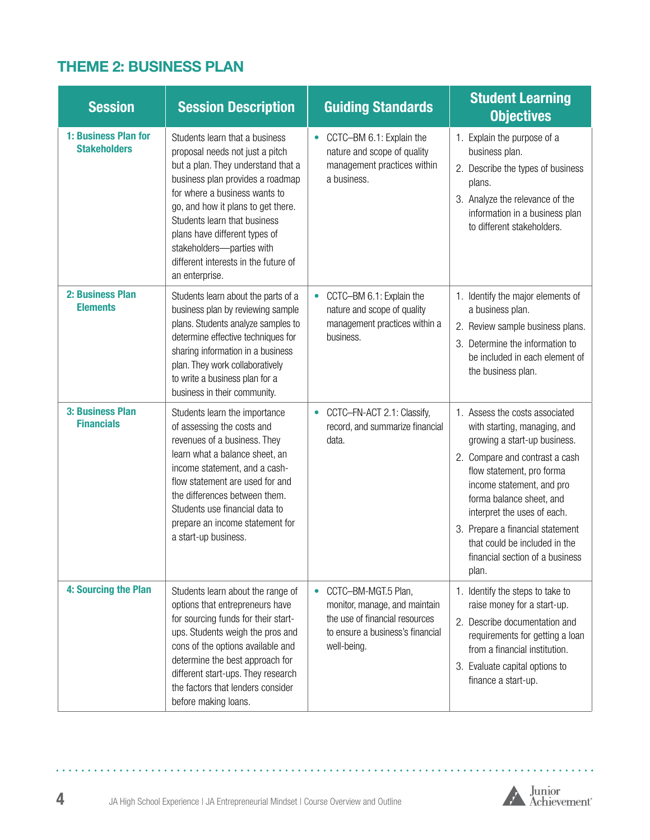## **THEME 2: BUSINESS PLAN**

| <b>Session</b>                              | <b>Session Description</b>                                                                                                                                                                                                                                                                                                                                                 | <b>Guiding Standards</b>                                                                                                                               | <b>Student Learning</b><br><b>Objectives</b>                                                                                                                                                                                                                                                                                                                           |
|---------------------------------------------|----------------------------------------------------------------------------------------------------------------------------------------------------------------------------------------------------------------------------------------------------------------------------------------------------------------------------------------------------------------------------|--------------------------------------------------------------------------------------------------------------------------------------------------------|------------------------------------------------------------------------------------------------------------------------------------------------------------------------------------------------------------------------------------------------------------------------------------------------------------------------------------------------------------------------|
| 1: Business Plan for<br><b>Stakeholders</b> | Students learn that a business<br>proposal needs not just a pitch<br>but a plan. They understand that a<br>business plan provides a roadmap<br>for where a business wants to<br>go, and how it plans to get there.<br>Students learn that business<br>plans have different types of<br>stakeholders-parties with<br>different interests in the future of<br>an enterprise. | CCTC-BM 6.1: Explain the<br>$\bullet$<br>nature and scope of quality<br>management practices within<br>a business.                                     | 1. Explain the purpose of a<br>business plan.<br>2. Describe the types of business<br>plans.<br>3. Analyze the relevance of the<br>information in a business plan<br>to different stakeholders.                                                                                                                                                                        |
| 2: Business Plan<br><b>Elements</b>         | Students learn about the parts of a<br>business plan by reviewing sample<br>plans. Students analyze samples to<br>determine effective techniques for<br>sharing information in a business<br>plan. They work collaboratively<br>to write a business plan for a<br>business in their community.                                                                             | CCTC-BM 6.1: Explain the<br>$\bullet$<br>nature and scope of quality<br>management practices within a<br>business.                                     | 1. Identify the major elements of<br>a business plan.<br>2. Review sample business plans.<br>3. Determine the information to<br>be included in each element of<br>the business plan.                                                                                                                                                                                   |
| 3: Business Plan<br><b>Financials</b>       | Students learn the importance<br>of assessing the costs and<br>revenues of a business. They<br>learn what a balance sheet, an<br>income statement, and a cash-<br>flow statement are used for and<br>the differences between them.<br>Students use financial data to<br>prepare an income statement for<br>a start-up business.                                            | CCTC-FN-ACT 2.1: Classify,<br>$\bullet$<br>record, and summarize financial<br>data.                                                                    | 1. Assess the costs associated<br>with starting, managing, and<br>growing a start-up business.<br>2. Compare and contrast a cash<br>flow statement, pro forma<br>income statement, and pro<br>forma balance sheet, and<br>interpret the uses of each.<br>3. Prepare a financial statement<br>that could be included in the<br>financial section of a business<br>plan. |
| 4: Sourcing the Plan                        | Students learn about the range of<br>options that entrepreneurs have<br>for sourcing funds for their start-<br>ups. Students weigh the pros and<br>cons of the options available and<br>determine the best approach for<br>different start-ups. They research<br>the factors that lenders consider<br>before making loans.                                                 | CCTC-BM-MGT.5 Plan,<br>$\bullet$<br>monitor, manage, and maintain<br>the use of financial resources<br>to ensure a business's financial<br>well-being. | 1. Identify the steps to take to<br>raise money for a start-up.<br>2. Describe documentation and<br>requirements for getting a loan<br>from a financial institution.<br>3. Evaluate capital options to<br>finance a start-up.                                                                                                                                          |

. . . . . .

÷. ú.

and a

. . . . . . .

 $\mathbf{A}$ 

i.

÷. ÷. ÷. i.

. . . . .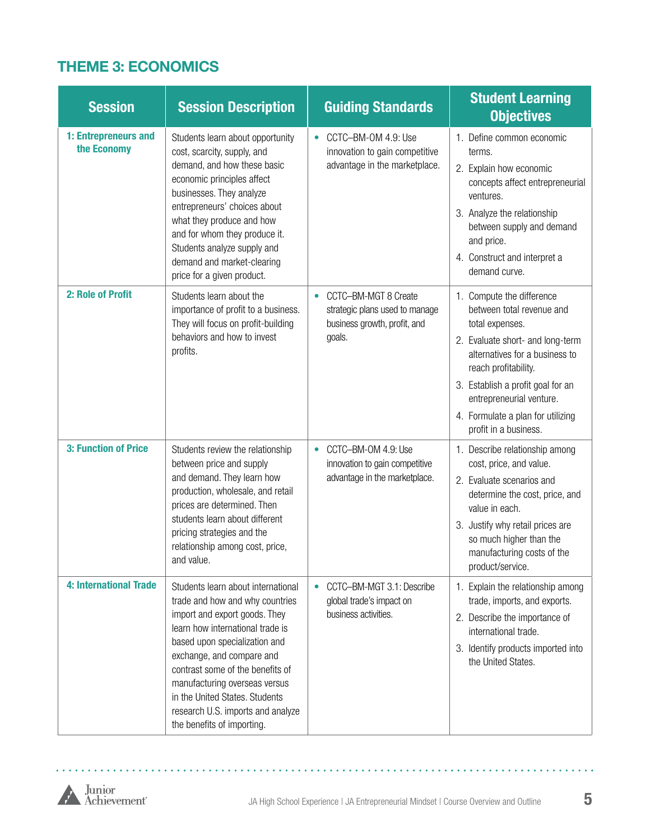## **THEME 3: ECONOMICS**

| <b>Session</b>                      | <b>Session Description</b>                                                                                                                                                                                                                                                                                                                                                         | <b>Guiding Standards</b>                                                                                      | <b>Student Learning</b><br><b>Objectives</b>                                                                                                                                                                                                                                                           |
|-------------------------------------|------------------------------------------------------------------------------------------------------------------------------------------------------------------------------------------------------------------------------------------------------------------------------------------------------------------------------------------------------------------------------------|---------------------------------------------------------------------------------------------------------------|--------------------------------------------------------------------------------------------------------------------------------------------------------------------------------------------------------------------------------------------------------------------------------------------------------|
| 1: Entrepreneurs and<br>the Economy | Students learn about opportunity<br>cost, scarcity, supply, and<br>demand, and how these basic<br>economic principles affect<br>businesses. They analyze<br>entrepreneurs' choices about<br>what they produce and how<br>and for whom they produce it.<br>Students analyze supply and<br>demand and market-clearing<br>price for a given product.                                  | CCTC-BM-OM 4.9: Use<br>$\bullet$<br>innovation to gain competitive<br>advantage in the marketplace.           | 1. Define common economic<br>terms.<br>2. Explain how economic<br>concepts affect entrepreneurial<br>ventures.<br>3. Analyze the relationship<br>between supply and demand<br>and price.<br>4. Construct and interpret a<br>demand curve.                                                              |
| 2: Role of Profit                   | Students learn about the<br>importance of profit to a business.<br>They will focus on profit-building<br>behaviors and how to invest<br>profits.                                                                                                                                                                                                                                   | CCTC-BM-MGT 8 Create<br>$\bullet$<br>strategic plans used to manage<br>business growth, profit, and<br>goals. | 1. Compute the difference<br>between total revenue and<br>total expenses.<br>2. Evaluate short- and long-term<br>alternatives for a business to<br>reach profitability.<br>3. Establish a profit goal for an<br>entrepreneurial venture.<br>4. Formulate a plan for utilizing<br>profit in a business. |
| 3: Function of Price                | Students review the relationship<br>between price and supply<br>and demand. They learn how<br>production, wholesale, and retail<br>prices are determined. Then<br>students learn about different<br>pricing strategies and the<br>relationship among cost, price,<br>and value.                                                                                                    | CCTC-BM-OM 4.9: Use<br>$\bullet$<br>innovation to gain competitive<br>advantage in the marketplace.           | 1. Describe relationship among<br>cost, price, and value.<br>2. Evaluate scenarios and<br>determine the cost, price, and<br>value in each.<br>3. Justify why retail prices are<br>so much higher than the<br>manufacturing costs of the<br>product/service.                                            |
| <b>4: International Trade</b>       | Students learn about international<br>trade and how and why countries<br>import and export goods. They<br>learn how international trade is<br>based upon specialization and<br>exchange, and compare and<br>contrast some of the benefits of<br>manufacturing overseas versus<br>in the United States. Students<br>research U.S. imports and analyze<br>the benefits of importing. | CCTC-BM-MGT 3.1: Describe<br>$\bullet$<br>global trade's impact on<br>business activities.                    | 1. Explain the relationship among<br>trade, imports, and exports.<br>2. Describe the importance of<br>international trade.<br>3. Identify products imported into<br>the United States.                                                                                                                 |



. . . . . . . . . .

l.  $\ddot{\phantom{0}}$  $\ddot{\phantom{a}}$  . . . . . . . . . .

i.  $\mathbf{r}$ ä.  $\overline{\phantom{a}}$  $\mathbf{r}$ ÷.

 $\ddot{\phantom{a}}$  $\ddot{\phantom{a}}$  $\mathbf{r}$  $\mathbf{r}$  $\overline{a}$  $\mathbf{r}$  $\lambda$ ÷.  $\ddot{\phantom{0}}$ ä,  $\ddot{\phantom{a}}$ 

÷.